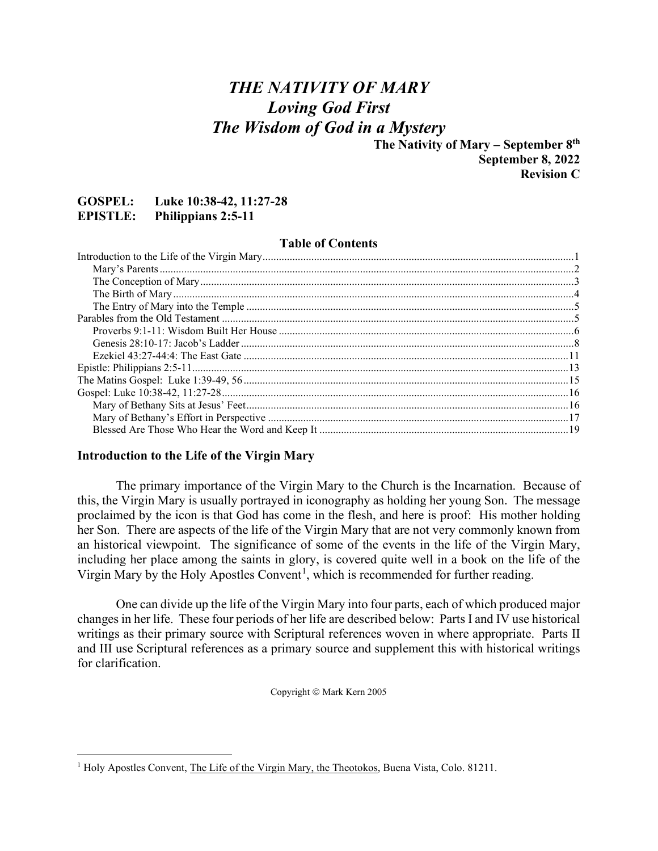## *THE NATIVITY OF MARY Loving God First The Wisdom of God in a Mystery*

**The Nativity of Mary – September 8th September 8, 2022 Revision C**

#### **GOSPEL: Luke 10:38-42, 11:27-28 EPISTLE: Philippians 2:5-11**

#### **Table of Contents**

#### <span id="page-0-0"></span>**Introduction to the Life of the Virgin Mary**

The primary importance of the Virgin Mary to the Church is the Incarnation. Because of this, the Virgin Mary is usually portrayed in iconography as holding her young Son. The message proclaimed by the icon is that God has come in the flesh, and here is proof: His mother holding her Son. There are aspects of the life of the Virgin Mary that are not very commonly known from an historical viewpoint. The significance of some of the events in the life of the Virgin Mary, including her place among the saints in glory, is covered quite well in a book on the life of the Virgin Mary by the Holy Apostles Convent<sup>[1](#page-0-1)</sup>, which is recommended for further reading.

One can divide up the life of the Virgin Mary into four parts, each of which produced major changes in her life. These four periods of her life are described below: Parts I and IV use historical writings as their primary source with Scriptural references woven in where appropriate. Parts II and III use Scriptural references as a primary source and supplement this with historical writings for clarification.

Copyright © Mark Kern 2005

<span id="page-0-1"></span><sup>&</sup>lt;sup>1</sup> Holy Apostles Convent, The Life of the Virgin Mary, the Theotokos, Buena Vista, Colo. 81211.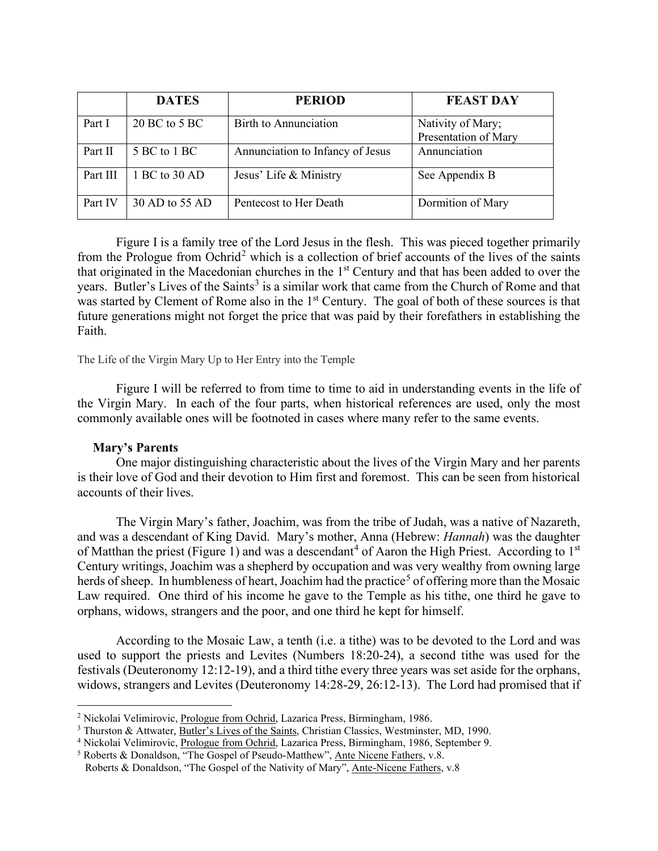|          | <b>DATES</b>    | <b>PERIOD</b>                    | <b>FEAST DAY</b>                          |
|----------|-----------------|----------------------------------|-------------------------------------------|
| Part I   | $20$ BC to 5 BC | Birth to Annunciation            | Nativity of Mary;<br>Presentation of Mary |
| Part II  | 5 BC to 1 BC    | Annunciation to Infancy of Jesus | Annunciation                              |
| Part III | 1 BC to 30 AD   | Jesus' Life & Ministry           | See Appendix B                            |
| Part IV  | 30 AD to 55 AD  | Pentecost to Her Death           | Dormition of Mary                         |

Figure I is a family tree of the Lord Jesus in the flesh. This was pieced together primarily from the Prologue from Ochrid<sup>[2](#page-1-1)</sup> which is a collection of brief accounts of the lives of the saints that originated in the Macedonian churches in the 1<sup>st</sup> Century and that has been added to over the years. Butler's Lives of the Saints<sup>[3](#page-1-2)</sup> is a similar work that came from the Church of Rome and that was started by Clement of Rome also in the 1<sup>st</sup> Century. The goal of both of these sources is that future generations might not forget the price that was paid by their forefathers in establishing the Faith.

The Life of the Virgin Mary Up to Her Entry into the Temple

Figure I will be referred to from time to time to aid in understanding events in the life of the Virgin Mary. In each of the four parts, when historical references are used, only the most commonly available ones will be footnoted in cases where many refer to the same events.

#### **Mary's Parents**

<span id="page-1-0"></span>One major distinguishing characteristic about the lives of the Virgin Mary and her parents is their love of God and their devotion to Him first and foremost. This can be seen from historical accounts of their lives.

The Virgin Mary's father, Joachim, was from the tribe of Judah, was a native of Nazareth, and was a descendant of King David. Mary's mother, Anna (Hebrew: *Hannah*) was the daughter of Matthan the priest (Figure 1) and was a descendant<sup>[4](#page-1-3)</sup> of Aaron the High Priest. According to  $1<sup>st</sup>$ Century writings, Joachim was a shepherd by occupation and was very wealthy from owning large herds of sheep. In humbleness of heart, Joachim had the practice<sup>[5](#page-1-4)</sup> of offering more than the Mosaic Law required. One third of his income he gave to the Temple as his tithe, one third he gave to orphans, widows, strangers and the poor, and one third he kept for himself.

According to the Mosaic Law, a tenth (i.e. a tithe) was to be devoted to the Lord and was used to support the priests and Levites (Numbers 18:20-24), a second tithe was used for the festivals (Deuteronomy 12:12-19), and a third tithe every three years was set aside for the orphans, widows, strangers and Levites (Deuteronomy 14:28-29, 26:12-13). The Lord had promised that if

<span id="page-1-1"></span><sup>2</sup> Nickolai Velimirovic, Prologue from Ochrid, Lazarica Press, Birmingham, 1986.

<span id="page-1-2"></span><sup>3</sup> Thurston & Attwater, Butler's Lives of the Saints, Christian Classics, Westminster, MD, 1990.

<span id="page-1-3"></span><sup>&</sup>lt;sup>4</sup> Nickolai Velimirovic, Prologue from Ochrid, Lazarica Press, Birmingham, 1986, September 9.

<span id="page-1-4"></span><sup>5</sup> Roberts & Donaldson, "The Gospel of Pseudo-Matthew", Ante Nicene Fathers, v.8.

Roberts & Donaldson, "The Gospel of the Nativity of Mary", Ante-Nicene Fathers, v.8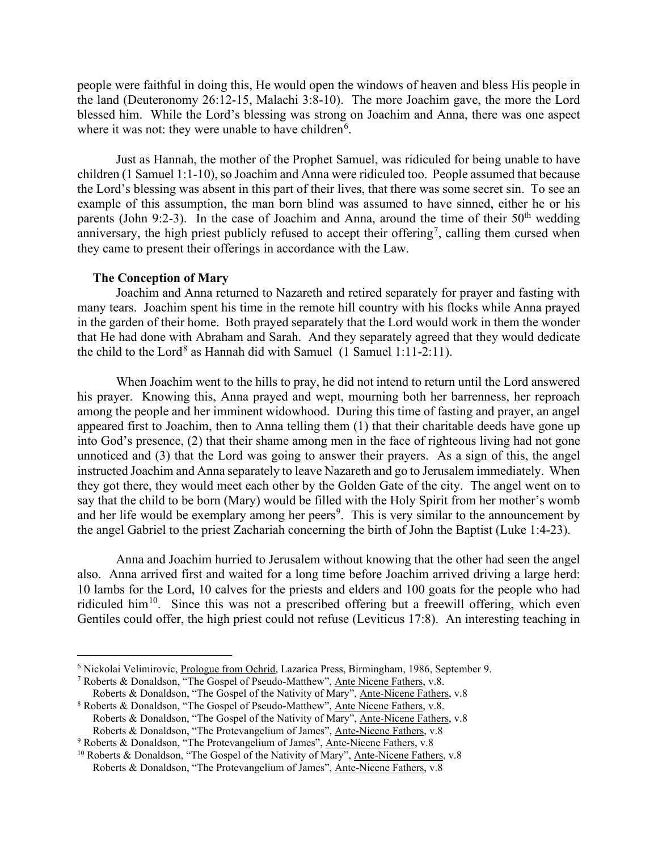people were faithful in doing this, He would open the windows of heaven and bless His people in the land (Deuteronomy 26:12-15, Malachi 3:8-10). The more Joachim gave, the more the Lord blessed him. While the Lord's blessing was strong on Joachim and Anna, there was one aspect where it was not: they were unable to have children<sup>[6](#page-2-1)</sup>.

Just as Hannah, the mother of the Prophet Samuel, was ridiculed for being unable to have children (1 Samuel 1:1-10), so Joachim and Anna were ridiculed too. People assumed that because the Lord's blessing was absent in this part of their lives, that there was some secret sin. To see an example of this assumption, the man born blind was assumed to have sinned, either he or his parents (John 9:2-3). In the case of Joachim and Anna, around the time of their  $50<sup>th</sup>$  wedding anniversary, the high priest publicly refused to accept their offering<sup>[7](#page-2-2)</sup>, calling them cursed when they came to present their offerings in accordance with the Law.

#### **The Conception of Mary**

<span id="page-2-0"></span>Joachim and Anna returned to Nazareth and retired separately for prayer and fasting with many tears. Joachim spent his time in the remote hill country with his flocks while Anna prayed in the garden of their home. Both prayed separately that the Lord would work in them the wonder that He had done with Abraham and Sarah. And they separately agreed that they would dedicate the child to the Lord<sup>[8](#page-2-3)</sup> as Hannah did with Samuel  $(1$  Samuel 1:11-2:11).

When Joachim went to the hills to pray, he did not intend to return until the Lord answered his prayer. Knowing this, Anna prayed and wept, mourning both her barrenness, her reproach among the people and her imminent widowhood. During this time of fasting and prayer, an angel appeared first to Joachim, then to Anna telling them (1) that their charitable deeds have gone up into God's presence, (2) that their shame among men in the face of righteous living had not gone unnoticed and (3) that the Lord was going to answer their prayers. As a sign of this, the angel instructed Joachim and Anna separately to leave Nazareth and go to Jerusalem immediately. When they got there, they would meet each other by the Golden Gate of the city. The angel went on to say that the child to be born (Mary) would be filled with the Holy Spirit from her mother's womb and her life would be exemplary among her peers<sup>[9](#page-2-4)</sup>. This is very similar to the announcement by the angel Gabriel to the priest Zachariah concerning the birth of John the Baptist (Luke 1:4-23).

Anna and Joachim hurried to Jerusalem without knowing that the other had seen the angel also. Anna arrived first and waited for a long time before Joachim arrived driving a large herd: 10 lambs for the Lord, 10 calves for the priests and elders and 100 goats for the people who had ridiculed him<sup>10</sup>. Since this was not a prescribed offering but a freewill offering, which even Gentiles could offer, the high priest could not refuse (Leviticus 17:8). An interesting teaching in

<span id="page-2-1"></span><sup>6</sup> Nickolai Velimirovic, Prologue from Ochrid, Lazarica Press, Birmingham, 1986, September 9.

<span id="page-2-2"></span><sup>7</sup> Roberts & Donaldson, "The Gospel of Pseudo-Matthew", Ante Nicene Fathers, v.8. Roberts & Donaldson, "The Gospel of the Nativity of Mary", Ante-Nicene Fathers, v.8

<span id="page-2-3"></span><sup>8</sup> Roberts & Donaldson, "The Gospel of Pseudo-Matthew", Ante Nicene Fathers, v.8. Roberts & Donaldson, "The Gospel of the Nativity of Mary", Ante-Nicene Fathers, v.8 Roberts & Donaldson, "The Protevangelium of James", Ante-Nicene Fathers, v.8

<sup>9</sup> Roberts & Donaldson, "The Protevangelium of James", Ante-Nicene Fathers, v.8

<span id="page-2-5"></span><span id="page-2-4"></span><sup>&</sup>lt;sup>10</sup> Roberts & Donaldson, "The Gospel of the Nativity of Mary", Ante-Nicene Fathers, v.8 Roberts & Donaldson, "The Protevangelium of James", Ante-Nicene Fathers, v.8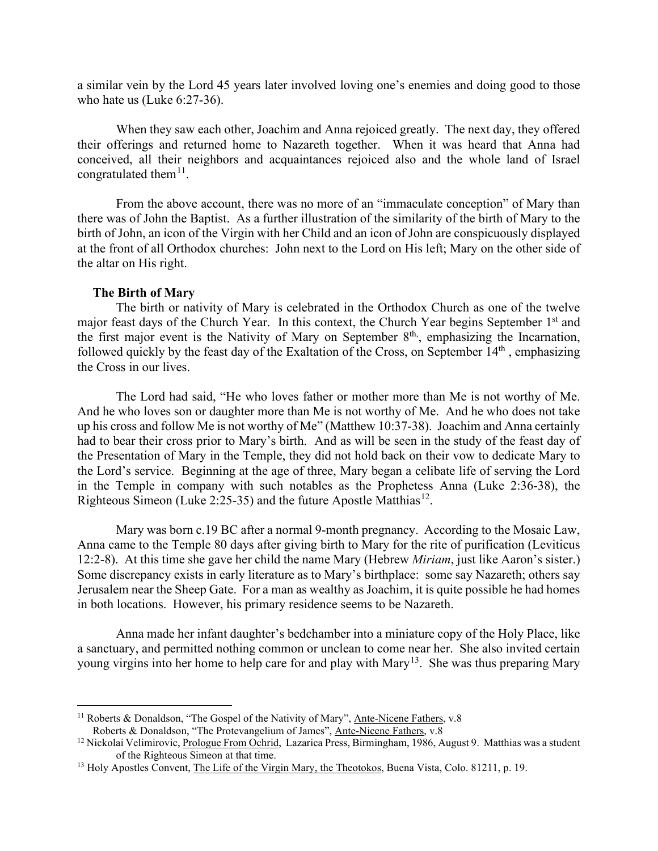a similar vein by the Lord 45 years later involved loving one's enemies and doing good to those who hate us (Luke 6:27-36).

When they saw each other, Joachim and Anna rejoiced greatly. The next day, they offered their offerings and returned home to Nazareth together. When it was heard that Anna had conceived, all their neighbors and acquaintances rejoiced also and the whole land of Israel congratulated them<sup>11</sup>.

From the above account, there was no more of an "immaculate conception" of Mary than there was of John the Baptist. As a further illustration of the similarity of the birth of Mary to the birth of John, an icon of the Virgin with her Child and an icon of John are conspicuously displayed at the front of all Orthodox churches: John next to the Lord on His left; Mary on the other side of the altar on His right.

#### **The Birth of Mary**

<span id="page-3-0"></span>The birth or nativity of Mary is celebrated in the Orthodox Church as one of the twelve major feast days of the Church Year. In this context, the Church Year begins September 1<sup>st</sup> and the first major event is the Nativity of Mary on September  $8<sup>th</sup>$ , emphasizing the Incarnation, followed quickly by the feast day of the Exaltation of the Cross, on September 14<sup>th</sup>, emphasizing the Cross in our lives.

The Lord had said, "He who loves father or mother more than Me is not worthy of Me. And he who loves son or daughter more than Me is not worthy of Me. And he who does not take up his cross and follow Me is not worthy of Me" (Matthew 10:37-38). Joachim and Anna certainly had to bear their cross prior to Mary's birth. And as will be seen in the study of the feast day of the Presentation of Mary in the Temple, they did not hold back on their vow to dedicate Mary to the Lord's service. Beginning at the age of three, Mary began a celibate life of serving the Lord in the Temple in company with such notables as the Prophetess Anna (Luke 2:36-38), the Righteous Simeon (Luke 2:25-35) and the future Apostle Matthias<sup>12</sup>.

Mary was born c.19 BC after a normal 9-month pregnancy. According to the Mosaic Law, Anna came to the Temple 80 days after giving birth to Mary for the rite of purification (Leviticus 12:2-8). At this time she gave her child the name Mary (Hebrew *Miriam*, just like Aaron's sister.) Some discrepancy exists in early literature as to Mary's birthplace: some say Nazareth; others say Jerusalem near the Sheep Gate. For a man as wealthy as Joachim, it is quite possible he had homes in both locations. However, his primary residence seems to be Nazareth.

Anna made her infant daughter's bedchamber into a miniature copy of the Holy Place, like a sanctuary, and permitted nothing common or unclean to come near her. She also invited certain young virgins into her home to help care for and play with Mary<sup>[13](#page-3-3)</sup>. She was thus preparing Mary

<span id="page-3-1"></span> $11$  Roberts & Donaldson, "The Gospel of the Nativity of Mary", Ante-Nicene Fathers, v.8 Roberts & Donaldson, "The Protevangelium of James", Ante-Nicene Fathers, v.8

<span id="page-3-2"></span> $12$  Nickolai Velimirovic, Prologue From Ochrid, Lazarica Press, Birmingham, 1986, August 9. Matthias was a student of the Righteous Simeon at that time.

<span id="page-3-3"></span><sup>&</sup>lt;sup>13</sup> Holy Apostles Convent, The Life of the Virgin Mary, the Theotokos, Buena Vista, Colo. 81211, p. 19.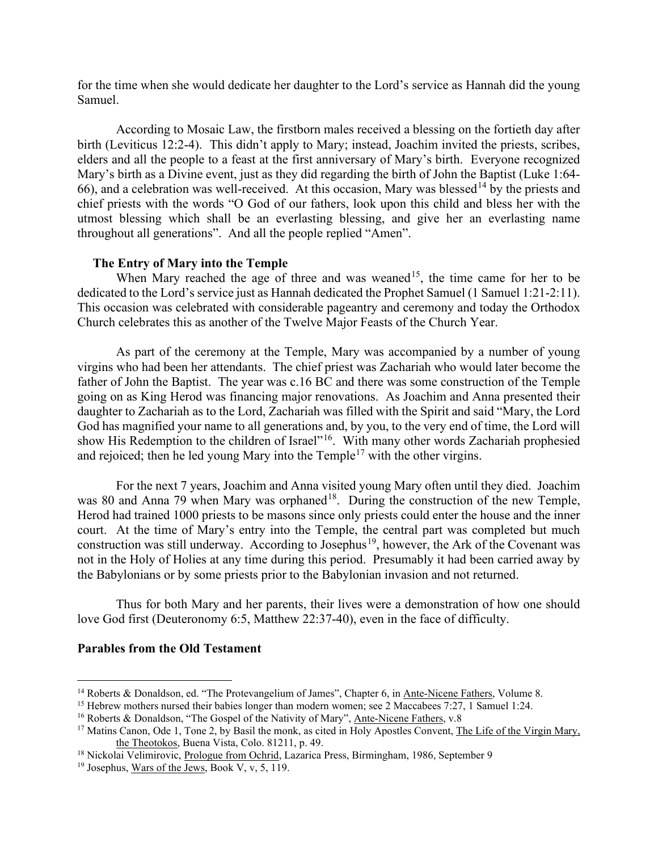for the time when she would dedicate her daughter to the Lord's service as Hannah did the young Samuel.

According to Mosaic Law, the firstborn males received a blessing on the fortieth day after birth (Leviticus 12:2-4). This didn't apply to Mary; instead, Joachim invited the priests, scribes, elders and all the people to a feast at the first anniversary of Mary's birth. Everyone recognized Mary's birth as a Divine event, just as they did regarding the birth of John the Baptist (Luke 1:64- 66), and a celebration was well-received. At this occasion, Mary was blessed<sup>[14](#page-4-2)</sup> by the priests and chief priests with the words "O God of our fathers, look upon this child and bless her with the utmost blessing which shall be an everlasting blessing, and give her an everlasting name throughout all generations". And all the people replied "Amen".

#### **The Entry of Mary into the Temple**

<span id="page-4-0"></span>When Mary reached the age of three and was weaned<sup>[15](#page-4-3)</sup>, the time came for her to be dedicated to the Lord's service just as Hannah dedicated the Prophet Samuel (1 Samuel 1:21-2:11). This occasion was celebrated with considerable pageantry and ceremony and today the Orthodox Church celebrates this as another of the Twelve Major Feasts of the Church Year.

As part of the ceremony at the Temple, Mary was accompanied by a number of young virgins who had been her attendants. The chief priest was Zachariah who would later become the father of John the Baptist. The year was c.16 BC and there was some construction of the Temple going on as King Herod was financing major renovations. As Joachim and Anna presented their daughter to Zachariah as to the Lord, Zachariah was filled with the Spirit and said "Mary, the Lord God has magnified your name to all generations and, by you, to the very end of time, the Lord will show His Redemption to the children of Israel"<sup>[16](#page-4-4)</sup>. With many other words Zachariah prophesied and rejoiced; then he led young Mary into the  $T$ emple<sup>[17](#page-4-5)</sup> with the other virgins.

For the next 7 years, Joachim and Anna visited young Mary often until they died. Joachim was 80 and Anna 79 when Mary was orphaned<sup>[18](#page-4-6)</sup>. During the construction of the new Temple, Herod had trained 1000 priests to be masons since only priests could enter the house and the inner court. At the time of Mary's entry into the Temple, the central part was completed but much construction was still underway. According to Josephus<sup>[19](#page-4-7)</sup>, however, the Ark of the Covenant was not in the Holy of Holies at any time during this period. Presumably it had been carried away by the Babylonians or by some priests prior to the Babylonian invasion and not returned.

Thus for both Mary and her parents, their lives were a demonstration of how one should love God first (Deuteronomy 6:5, Matthew 22:37-40), even in the face of difficulty.

#### <span id="page-4-1"></span>**Parables from the Old Testament**

<span id="page-4-2"></span><sup>&</sup>lt;sup>14</sup> Roberts & Donaldson, ed. "The Protevangelium of James", Chapter 6, in Ante-Nicene Fathers, Volume 8.

<span id="page-4-3"></span><sup>&</sup>lt;sup>15</sup> Hebrew mothers nursed their babies longer than modern women; see 2 Maccabees 7:27, 1 Samuel 1:24.

<span id="page-4-4"></span><sup>&</sup>lt;sup>16</sup> Roberts & Donaldson, "The Gospel of the Nativity of Mary", Ante-Nicene Fathers, v.8

<span id="page-4-5"></span><sup>&</sup>lt;sup>17</sup> Matins Canon, Ode 1, Tone 2, by Basil the monk, as cited in Holy Apostles Convent, The Life of the Virgin Mary, the Theotokos, Buena Vista, Colo. 81211, p. 49.

<span id="page-4-6"></span><sup>&</sup>lt;sup>18</sup> Nickolai Velimirovic, Prologue from Ochrid, Lazarica Press, Birmingham, 1986, September 9

<span id="page-4-7"></span><sup>&</sup>lt;sup>19</sup> Josephus, Wars of the Jews, Book V, v, 5, 119.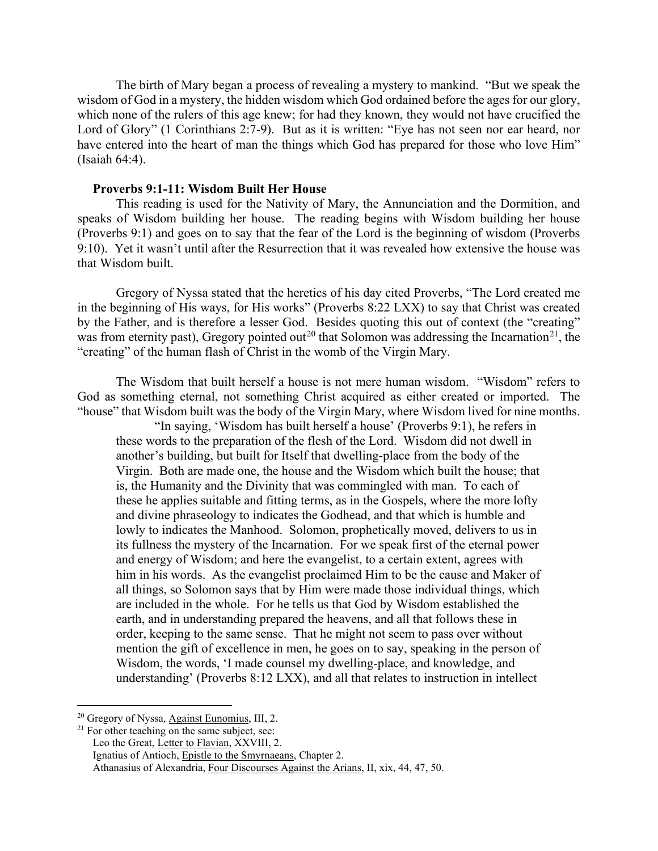The birth of Mary began a process of revealing a mystery to mankind. "But we speak the wisdom of God in a mystery, the hidden wisdom which God ordained before the ages for our glory, which none of the rulers of this age knew; for had they known, they would not have crucified the Lord of Glory" (1 Corinthians 2:7-9). But as it is written: "Eye has not seen nor ear heard, nor have entered into the heart of man the things which God has prepared for those who love Him" (Isaiah 64:4).

#### <span id="page-5-0"></span>**Proverbs 9:1-11: Wisdom Built Her House**

This reading is used for the Nativity of Mary, the Annunciation and the Dormition, and speaks of Wisdom building her house. The reading begins with Wisdom building her house (Proverbs 9:1) and goes on to say that the fear of the Lord is the beginning of wisdom (Proverbs 9:10). Yet it wasn't until after the Resurrection that it was revealed how extensive the house was that Wisdom built.

Gregory of Nyssa stated that the heretics of his day cited Proverbs, "The Lord created me in the beginning of His ways, for His works" (Proverbs 8:22 LXX) to say that Christ was created by the Father, and is therefore a lesser God. Besides quoting this out of context (the "creating" was from eternity past), Gregory pointed out<sup>[20](#page-5-1)</sup> that Solomon was addressing the Incarnation<sup>21</sup>, the "creating" of the human flash of Christ in the womb of the Virgin Mary.

The Wisdom that built herself a house is not mere human wisdom. "Wisdom" refers to God as something eternal, not something Christ acquired as either created or imported. The "house" that Wisdom built was the body of the Virgin Mary, where Wisdom lived for nine months.

"In saying, 'Wisdom has built herself a house' (Proverbs 9:1), he refers in these words to the preparation of the flesh of the Lord. Wisdom did not dwell in another's building, but built for Itself that dwelling-place from the body of the Virgin. Both are made one, the house and the Wisdom which built the house; that is, the Humanity and the Divinity that was commingled with man. To each of these he applies suitable and fitting terms, as in the Gospels, where the more lofty and divine phraseology to indicates the Godhead, and that which is humble and lowly to indicates the Manhood. Solomon, prophetically moved, delivers to us in its fullness the mystery of the Incarnation. For we speak first of the eternal power and energy of Wisdom; and here the evangelist, to a certain extent, agrees with him in his words. As the evangelist proclaimed Him to be the cause and Maker of all things, so Solomon says that by Him were made those individual things, which are included in the whole. For he tells us that God by Wisdom established the earth, and in understanding prepared the heavens, and all that follows these in order, keeping to the same sense. That he might not seem to pass over without mention the gift of excellence in men, he goes on to say, speaking in the person of Wisdom, the words, 'I made counsel my dwelling-place, and knowledge, and understanding' (Proverbs 8:12 LXX), and all that relates to instruction in intellect

<span id="page-5-1"></span><sup>20</sup> Gregory of Nyssa, Against Eunomius, III, 2.

<span id="page-5-2"></span><sup>&</sup>lt;sup>21</sup> For other teaching on the same subject, see:

Leo the Great, Letter to Flavian, XXVIII, 2.

Ignatius of Antioch, Epistle to the Smyrnaeans, Chapter 2.

Athanasius of Alexandria, Four Discourses Against the Arians, II, xix, 44, 47, 50.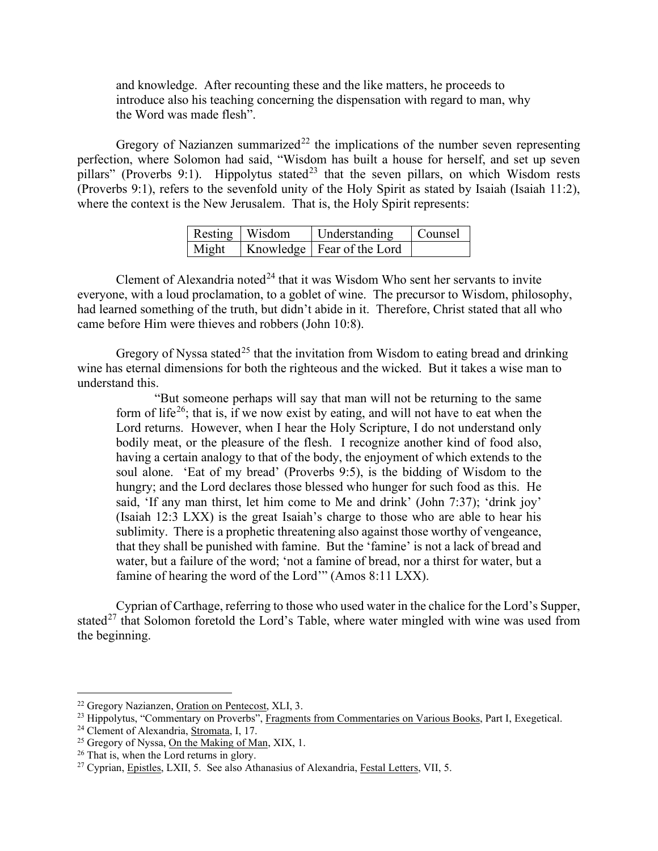and knowledge. After recounting these and the like matters, he proceeds to introduce also his teaching concerning the dispensation with regard to man, why the Word was made flesh".

Gregory of Nazianzen summarized<sup>[22](#page-6-0)</sup> the implications of the number seven representing perfection, where Solomon had said, "Wisdom has built a house for herself, and set up seven pillars" (Proverbs 9:1). Hippolytus stated<sup>[23](#page-6-1)</sup> that the seven pillars, on which Wisdom rests (Proverbs 9:1), refers to the sevenfold unity of the Holy Spirit as stated by Isaiah (Isaiah 11:2), where the context is the New Jerusalem. That is, the Holy Spirit represents:

| Resting   Wisdom | Understanding Counsel                |  |
|------------------|--------------------------------------|--|
|                  | Might   Knowledge   Fear of the Lord |  |

Clement of Alexandria noted<sup>[24](#page-6-2)</sup> that it was Wisdom Who sent her servants to invite everyone, with a loud proclamation, to a goblet of wine. The precursor to Wisdom, philosophy, had learned something of the truth, but didn't abide in it. Therefore, Christ stated that all who came before Him were thieves and robbers (John 10:8).

Gregory of Nyssa stated<sup>[25](#page-6-3)</sup> that the invitation from Wisdom to eating bread and drinking wine has eternal dimensions for both the righteous and the wicked. But it takes a wise man to understand this.

"But someone perhaps will say that man will not be returning to the same form of life<sup>26</sup>; that is, if we now exist by eating, and will not have to eat when the Lord returns. However, when I hear the Holy Scripture, I do not understand only bodily meat, or the pleasure of the flesh. I recognize another kind of food also, having a certain analogy to that of the body, the enjoyment of which extends to the soul alone. 'Eat of my bread' (Proverbs 9:5), is the bidding of Wisdom to the hungry; and the Lord declares those blessed who hunger for such food as this. He said, 'If any man thirst, let him come to Me and drink' (John 7:37); 'drink joy' (Isaiah 12:3 LXX) is the great Isaiah's charge to those who are able to hear his sublimity. There is a prophetic threatening also against those worthy of vengeance, that they shall be punished with famine. But the 'famine' is not a lack of bread and water, but a failure of the word; 'not a famine of bread, nor a thirst for water, but a famine of hearing the word of the Lord'" (Amos 8:11 LXX).

Cyprian of Carthage, referring to those who used water in the chalice for the Lord's Supper, stated<sup>[27](#page-6-5)</sup> that Solomon foretold the Lord's Table, where water mingled with wine was used from the beginning.

<span id="page-6-0"></span><sup>22</sup> Gregory Nazianzen, Oration on Pentecost, XLI, 3.

<span id="page-6-1"></span><sup>&</sup>lt;sup>23</sup> Hippolytus, "Commentary on Proverbs", Fragments from Commentaries on Various Books, Part I, Exegetical.

<span id="page-6-2"></span><sup>24</sup> Clement of Alexandria, Stromata, I, 17.

<span id="page-6-3"></span><sup>&</sup>lt;sup>25</sup> Gregory of Nyssa, On the Making of Man, XIX, 1.

<span id="page-6-4"></span><sup>&</sup>lt;sup>26</sup> That is, when the Lord returns in glory.

<span id="page-6-5"></span><sup>27</sup> Cyprian, Epistles, LXII, 5. See also Athanasius of Alexandria, Festal Letters, VII, 5.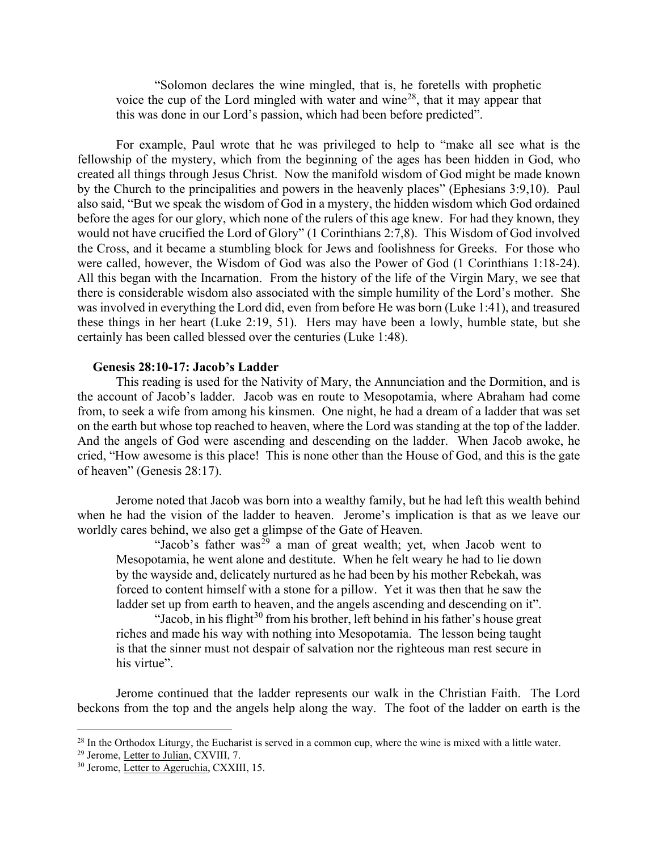"Solomon declares the wine mingled, that is, he foretells with prophetic voice the cup of the Lord mingled with water and wine<sup>[28](#page-7-1)</sup>, that it may appear that this was done in our Lord's passion, which had been before predicted".

For example, Paul wrote that he was privileged to help to "make all see what is the fellowship of the mystery, which from the beginning of the ages has been hidden in God, who created all things through Jesus Christ. Now the manifold wisdom of God might be made known by the Church to the principalities and powers in the heavenly places" (Ephesians 3:9,10). Paul also said, "But we speak the wisdom of God in a mystery, the hidden wisdom which God ordained before the ages for our glory, which none of the rulers of this age knew. For had they known, they would not have crucified the Lord of Glory" (1 Corinthians 2:7,8). This Wisdom of God involved the Cross, and it became a stumbling block for Jews and foolishness for Greeks. For those who were called, however, the Wisdom of God was also the Power of God (1 Corinthians 1:18-24). All this began with the Incarnation. From the history of the life of the Virgin Mary, we see that there is considerable wisdom also associated with the simple humility of the Lord's mother. She was involved in everything the Lord did, even from before He was born (Luke 1:41), and treasured these things in her heart (Luke 2:19, 51). Hers may have been a lowly, humble state, but she certainly has been called blessed over the centuries (Luke 1:48).

#### <span id="page-7-0"></span>**Genesis 28:10-17: Jacob's Ladder**

This reading is used for the Nativity of Mary, the Annunciation and the Dormition, and is the account of Jacob's ladder. Jacob was en route to Mesopotamia, where Abraham had come from, to seek a wife from among his kinsmen. One night, he had a dream of a ladder that was set on the earth but whose top reached to heaven, where the Lord was standing at the top of the ladder. And the angels of God were ascending and descending on the ladder. When Jacob awoke, he cried, "How awesome is this place! This is none other than the House of God, and this is the gate of heaven" (Genesis 28:17).

Jerome noted that Jacob was born into a wealthy family, but he had left this wealth behind when he had the vision of the ladder to heaven. Jerome's implication is that as we leave our worldly cares behind, we also get a glimpse of the Gate of Heaven.

"Jacob's father was<sup>[29](#page-7-2)</sup> a man of great wealth; yet, when Jacob went to Mesopotamia, he went alone and destitute. When he felt weary he had to lie down by the wayside and, delicately nurtured as he had been by his mother Rebekah, was forced to content himself with a stone for a pillow. Yet it was then that he saw the ladder set up from earth to heaven, and the angels ascending and descending on it".

"Jacob, in his flight $30$  from his brother, left behind in his father's house great riches and made his way with nothing into Mesopotamia. The lesson being taught is that the sinner must not despair of salvation nor the righteous man rest secure in his virtue".

Jerome continued that the ladder represents our walk in the Christian Faith. The Lord beckons from the top and the angels help along the way. The foot of the ladder on earth is the

<span id="page-7-1"></span> $^{28}$  In the Orthodox Liturgy, the Eucharist is served in a common cup, where the wine is mixed with a little water.

<span id="page-7-2"></span><sup>&</sup>lt;sup>29</sup> Jerome, Letter to Julian, CXVIII, 7.

<span id="page-7-3"></span><sup>30</sup> Jerome, Letter to Ageruchia, CXXIII, 15.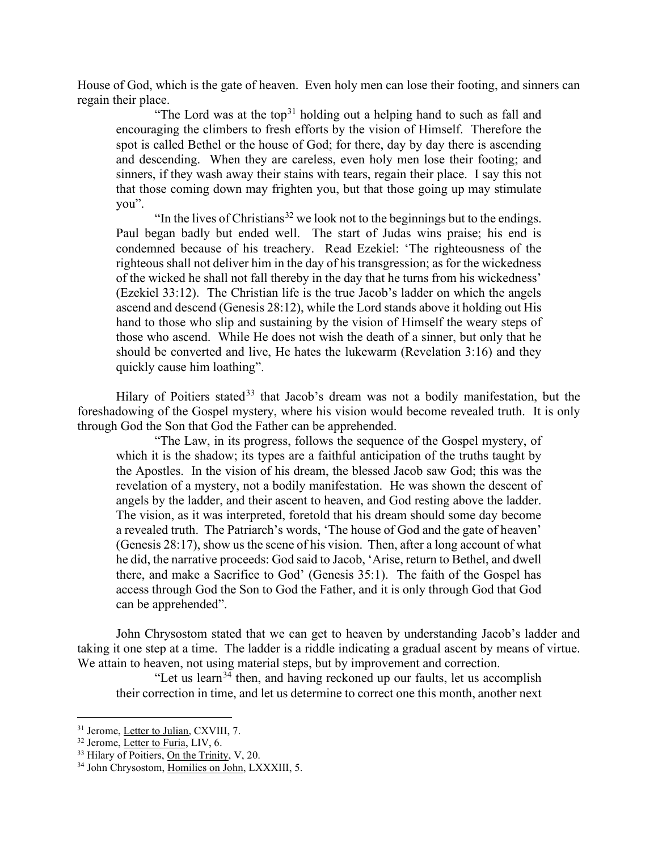House of God, which is the gate of heaven. Even holy men can lose their footing, and sinners can regain their place.

"The Lord was at the top<sup>[31](#page-8-0)</sup> holding out a helping hand to such as fall and encouraging the climbers to fresh efforts by the vision of Himself. Therefore the spot is called Bethel or the house of God; for there, day by day there is ascending and descending. When they are careless, even holy men lose their footing; and sinners, if they wash away their stains with tears, regain their place. I say this not that those coming down may frighten you, but that those going up may stimulate you".

"In the lives of Christians<sup>[32](#page-8-1)</sup> we look not to the beginnings but to the endings. Paul began badly but ended well. The start of Judas wins praise; his end is condemned because of his treachery. Read Ezekiel: 'The righteousness of the righteous shall not deliver him in the day of his transgression; as for the wickedness of the wicked he shall not fall thereby in the day that he turns from his wickedness' (Ezekiel 33:12). The Christian life is the true Jacob's ladder on which the angels ascend and descend (Genesis 28:12), while the Lord stands above it holding out His hand to those who slip and sustaining by the vision of Himself the weary steps of those who ascend. While He does not wish the death of a sinner, but only that he should be converted and live, He hates the lukewarm (Revelation 3:16) and they quickly cause him loathing".

Hilary of Poitiers stated<sup>[33](#page-8-2)</sup> that Jacob's dream was not a bodily manifestation, but the foreshadowing of the Gospel mystery, where his vision would become revealed truth. It is only through God the Son that God the Father can be apprehended.

"The Law, in its progress, follows the sequence of the Gospel mystery, of which it is the shadow; its types are a faithful anticipation of the truths taught by the Apostles. In the vision of his dream, the blessed Jacob saw God; this was the revelation of a mystery, not a bodily manifestation. He was shown the descent of angels by the ladder, and their ascent to heaven, and God resting above the ladder. The vision, as it was interpreted, foretold that his dream should some day become a revealed truth. The Patriarch's words, 'The house of God and the gate of heaven' (Genesis 28:17), show us the scene of his vision. Then, after a long account of what he did, the narrative proceeds: God said to Jacob, 'Arise, return to Bethel, and dwell there, and make a Sacrifice to God' (Genesis 35:1). The faith of the Gospel has access through God the Son to God the Father, and it is only through God that God can be apprehended".

John Chrysostom stated that we can get to heaven by understanding Jacob's ladder and taking it one step at a time. The ladder is a riddle indicating a gradual ascent by means of virtue. We attain to heaven, not using material steps, but by improvement and correction.

"Let us learn<sup>[34](#page-8-3)</sup> then, and having reckoned up our faults, let us accomplish their correction in time, and let us determine to correct one this month, another next

<span id="page-8-0"></span><sup>&</sup>lt;sup>31</sup> Jerome, Letter to Julian, CXVIII, 7.

<span id="page-8-1"></span> $32$  Jerome, Letter to Furia, LIV, 6.

<span id="page-8-2"></span><sup>&</sup>lt;sup>33</sup> Hilary of Poitiers, On the Trinity, V, 20.

<span id="page-8-3"></span><sup>34</sup> John Chrysostom, Homilies on John, LXXXIII, 5.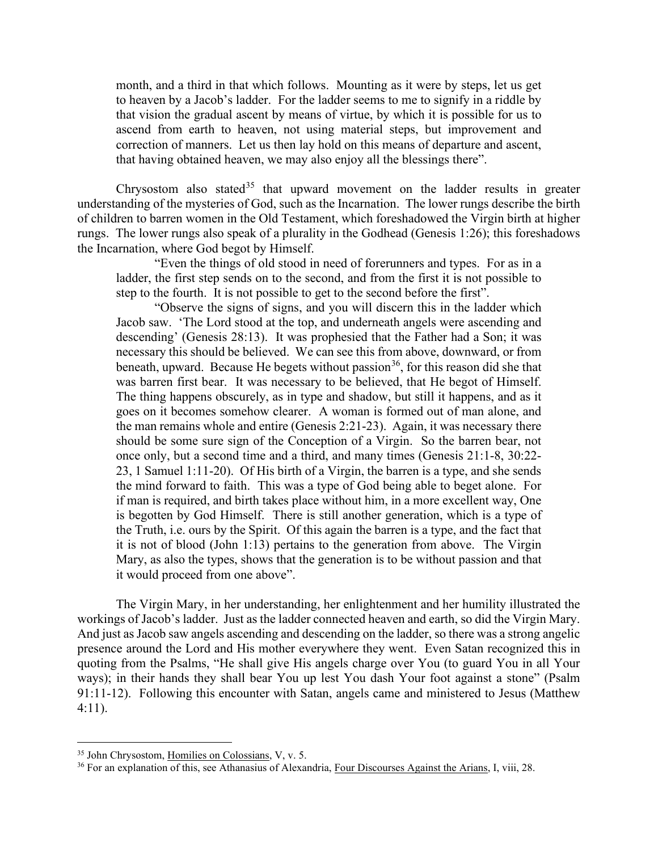month, and a third in that which follows. Mounting as it were by steps, let us get to heaven by a Jacob's ladder. For the ladder seems to me to signify in a riddle by that vision the gradual ascent by means of virtue, by which it is possible for us to ascend from earth to heaven, not using material steps, but improvement and correction of manners. Let us then lay hold on this means of departure and ascent, that having obtained heaven, we may also enjoy all the blessings there".

Chrysostom also stated<sup>[35](#page-9-0)</sup> that upward movement on the ladder results in greater understanding of the mysteries of God, such as the Incarnation. The lower rungs describe the birth of children to barren women in the Old Testament, which foreshadowed the Virgin birth at higher rungs. The lower rungs also speak of a plurality in the Godhead (Genesis 1:26); this foreshadows the Incarnation, where God begot by Himself.

"Even the things of old stood in need of forerunners and types. For as in a ladder, the first step sends on to the second, and from the first it is not possible to step to the fourth. It is not possible to get to the second before the first".

"Observe the signs of signs, and you will discern this in the ladder which Jacob saw. 'The Lord stood at the top, and underneath angels were ascending and descending' (Genesis 28:13). It was prophesied that the Father had a Son; it was necessary this should be believed. We can see this from above, downward, or from beneath, upward. Because He begets without passion<sup>36</sup>, for this reason did she that was barren first bear. It was necessary to be believed, that He begot of Himself. The thing happens obscurely, as in type and shadow, but still it happens, and as it goes on it becomes somehow clearer. A woman is formed out of man alone, and the man remains whole and entire (Genesis 2:21-23). Again, it was necessary there should be some sure sign of the Conception of a Virgin. So the barren bear, not once only, but a second time and a third, and many times (Genesis 21:1-8, 30:22- 23, 1 Samuel 1:11-20). Of His birth of a Virgin, the barren is a type, and she sends the mind forward to faith. This was a type of God being able to beget alone. For if man is required, and birth takes place without him, in a more excellent way, One is begotten by God Himself. There is still another generation, which is a type of the Truth, i.e. ours by the Spirit. Of this again the barren is a type, and the fact that it is not of blood (John 1:13) pertains to the generation from above. The Virgin Mary, as also the types, shows that the generation is to be without passion and that it would proceed from one above".

The Virgin Mary, in her understanding, her enlightenment and her humility illustrated the workings of Jacob's ladder. Just as the ladder connected heaven and earth, so did the Virgin Mary. And just as Jacob saw angels ascending and descending on the ladder, so there was a strong angelic presence around the Lord and His mother everywhere they went. Even Satan recognized this in quoting from the Psalms, "He shall give His angels charge over You (to guard You in all Your ways); in their hands they shall bear You up lest You dash Your foot against a stone" (Psalm 91:11-12). Following this encounter with Satan, angels came and ministered to Jesus (Matthew 4:11).

<span id="page-9-0"></span><sup>35</sup> John Chrysostom, Homilies on Colossians, V, v. 5.

<span id="page-9-1"></span><sup>&</sup>lt;sup>36</sup> For an explanation of this, see Athanasius of Alexandria, Four Discourses Against the Arians, I, viii, 28.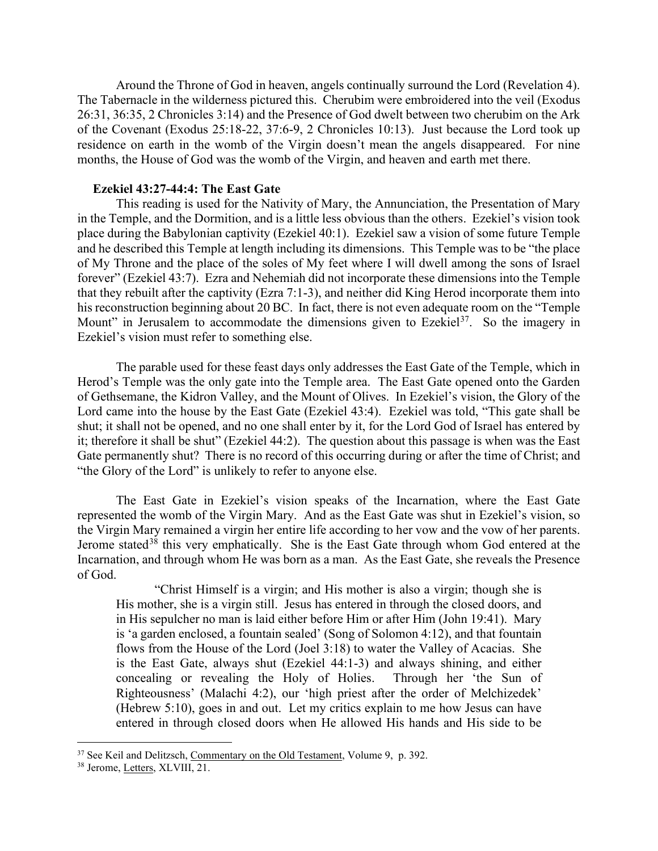Around the Throne of God in heaven, angels continually surround the Lord (Revelation 4). The Tabernacle in the wilderness pictured this. Cherubim were embroidered into the veil (Exodus 26:31, 36:35, 2 Chronicles 3:14) and the Presence of God dwelt between two cherubim on the Ark of the Covenant (Exodus 25:18-22, 37:6-9, 2 Chronicles 10:13). Just because the Lord took up residence on earth in the womb of the Virgin doesn't mean the angels disappeared. For nine months, the House of God was the womb of the Virgin, and heaven and earth met there.

#### **Ezekiel 43:27-44:4: The East Gate**

<span id="page-10-0"></span>This reading is used for the Nativity of Mary, the Annunciation, the Presentation of Mary in the Temple, and the Dormition, and is a little less obvious than the others. Ezekiel's vision took place during the Babylonian captivity (Ezekiel 40:1). Ezekiel saw a vision of some future Temple and he described this Temple at length including its dimensions. This Temple was to be "the place of My Throne and the place of the soles of My feet where I will dwell among the sons of Israel forever" (Ezekiel 43:7). Ezra and Nehemiah did not incorporate these dimensions into the Temple that they rebuilt after the captivity (Ezra 7:1-3), and neither did King Herod incorporate them into his reconstruction beginning about 20 BC. In fact, there is not even adequate room on the "Temple Mount" in Jerusalem to accommodate the dimensions given to Ezekiel<sup>37</sup>. So the imagery in Ezekiel's vision must refer to something else.

The parable used for these feast days only addresses the East Gate of the Temple, which in Herod's Temple was the only gate into the Temple area. The East Gate opened onto the Garden of Gethsemane, the Kidron Valley, and the Mount of Olives. In Ezekiel's vision, the Glory of the Lord came into the house by the East Gate (Ezekiel 43:4). Ezekiel was told, "This gate shall be shut; it shall not be opened, and no one shall enter by it, for the Lord God of Israel has entered by it; therefore it shall be shut" (Ezekiel 44:2). The question about this passage is when was the East Gate permanently shut? There is no record of this occurring during or after the time of Christ; and "the Glory of the Lord" is unlikely to refer to anyone else.

The East Gate in Ezekiel's vision speaks of the Incarnation, where the East Gate represented the womb of the Virgin Mary. And as the East Gate was shut in Ezekiel's vision, so the Virgin Mary remained a virgin her entire life according to her vow and the vow of her parents. Jerome stated<sup>[38](#page-10-2)</sup> this very emphatically. She is the East Gate through whom God entered at the Incarnation, and through whom He was born as a man. As the East Gate, she reveals the Presence of God.

"Christ Himself is a virgin; and His mother is also a virgin; though she is His mother, she is a virgin still. Jesus has entered in through the closed doors, and in His sepulcher no man is laid either before Him or after Him (John 19:41). Mary is 'a garden enclosed, a fountain sealed' (Song of Solomon 4:12), and that fountain flows from the House of the Lord (Joel 3:18) to water the Valley of Acacias. She is the East Gate, always shut (Ezekiel 44:1-3) and always shining, and either concealing or revealing the Holy of Holies. Through her 'the Sun of Righteousness' (Malachi 4:2), our 'high priest after the order of Melchizedek' (Hebrew 5:10), goes in and out. Let my critics explain to me how Jesus can have entered in through closed doors when He allowed His hands and His side to be

<span id="page-10-1"></span><sup>&</sup>lt;sup>37</sup> See Keil and Delitzsch, Commentary on the Old Testament, Volume 9, p. 392.

<span id="page-10-2"></span><sup>38</sup> Jerome, Letters, XLVIII, 21.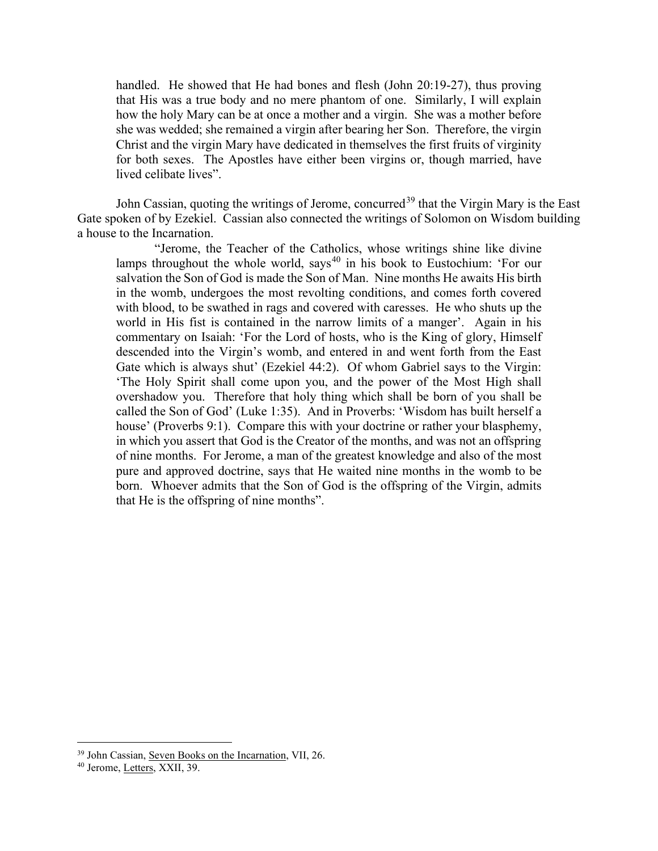handled. He showed that He had bones and flesh (John 20:19-27), thus proving that His was a true body and no mere phantom of one. Similarly, I will explain how the holy Mary can be at once a mother and a virgin. She was a mother before she was wedded; she remained a virgin after bearing her Son. Therefore, the virgin Christ and the virgin Mary have dedicated in themselves the first fruits of virginity for both sexes. The Apostles have either been virgins or, though married, have lived celibate lives".

John Cassian, quoting the writings of Jerome, concurred<sup>[39](#page-11-0)</sup> that the Virgin Mary is the East Gate spoken of by Ezekiel. Cassian also connected the writings of Solomon on Wisdom building a house to the Incarnation.

"Jerome, the Teacher of the Catholics, whose writings shine like divine lamps throughout the whole world, says<sup>[40](#page-11-1)</sup> in his book to Eustochium: 'For our salvation the Son of God is made the Son of Man. Nine months He awaits His birth in the womb, undergoes the most revolting conditions, and comes forth covered with blood, to be swathed in rags and covered with caresses. He who shuts up the world in His fist is contained in the narrow limits of a manger'. Again in his commentary on Isaiah: 'For the Lord of hosts, who is the King of glory, Himself descended into the Virgin's womb, and entered in and went forth from the East Gate which is always shut' (Ezekiel 44:2). Of whom Gabriel says to the Virgin: 'The Holy Spirit shall come upon you, and the power of the Most High shall overshadow you. Therefore that holy thing which shall be born of you shall be called the Son of God' (Luke 1:35). And in Proverbs: 'Wisdom has built herself a house' (Proverbs 9:1). Compare this with your doctrine or rather your blasphemy, in which you assert that God is the Creator of the months, and was not an offspring of nine months. For Jerome, a man of the greatest knowledge and also of the most pure and approved doctrine, says that He waited nine months in the womb to be born. Whoever admits that the Son of God is the offspring of the Virgin, admits that He is the offspring of nine months".

<span id="page-11-0"></span><sup>&</sup>lt;sup>39</sup> John Cassian, Seven Books on the Incarnation, VII, 26.

<span id="page-11-1"></span><sup>40</sup> Jerome, Letters, XXII, 39.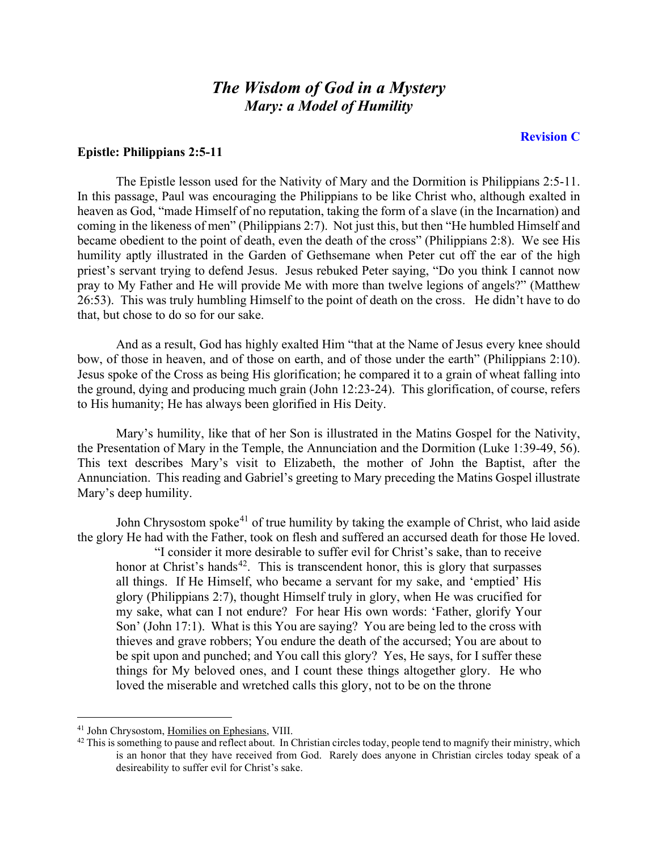### *The Wisdom of God in a Mystery Mary: a Model of Humility*

#### **Revision C**

#### <span id="page-12-0"></span>**Epistle: Philippians 2:5-11**

The Epistle lesson used for the Nativity of Mary and the Dormition is Philippians 2:5-11. In this passage, Paul was encouraging the Philippians to be like Christ who, although exalted in heaven as God, "made Himself of no reputation, taking the form of a slave (in the Incarnation) and coming in the likeness of men" (Philippians 2:7). Not just this, but then "He humbled Himself and became obedient to the point of death, even the death of the cross" (Philippians 2:8). We see His humility aptly illustrated in the Garden of Gethsemane when Peter cut off the ear of the high priest's servant trying to defend Jesus. Jesus rebuked Peter saying, "Do you think I cannot now pray to My Father and He will provide Me with more than twelve legions of angels?" (Matthew 26:53). This was truly humbling Himself to the point of death on the cross. He didn't have to do that, but chose to do so for our sake.

And as a result, God has highly exalted Him "that at the Name of Jesus every knee should bow, of those in heaven, and of those on earth, and of those under the earth" (Philippians 2:10). Jesus spoke of the Cross as being His glorification; he compared it to a grain of wheat falling into the ground, dying and producing much grain (John 12:23-24). This glorification, of course, refers to His humanity; He has always been glorified in His Deity.

Mary's humility, like that of her Son is illustrated in the Matins Gospel for the Nativity, the Presentation of Mary in the Temple, the Annunciation and the Dormition (Luke 1:39-49, 56). This text describes Mary's visit to Elizabeth, the mother of John the Baptist, after the Annunciation. This reading and Gabriel's greeting to Mary preceding the Matins Gospel illustrate Mary's deep humility.

John Chrysostom spoke<sup>[41](#page-12-1)</sup> of true humility by taking the example of Christ, who laid aside the glory He had with the Father, took on flesh and suffered an accursed death for those He loved.

"I consider it more desirable to suffer evil for Christ's sake, than to receive honor at Christ's hands<sup>[42](#page-12-2)</sup>. This is transcendent honor, this is glory that surpasses all things. If He Himself, who became a servant for my sake, and 'emptied' His glory (Philippians 2:7), thought Himself truly in glory, when He was crucified for my sake, what can I not endure? For hear His own words: 'Father, glorify Your Son' (John 17:1). What is this You are saying? You are being led to the cross with thieves and grave robbers; You endure the death of the accursed; You are about to be spit upon and punched; and You call this glory? Yes, He says, for I suffer these things for My beloved ones, and I count these things altogether glory. He who loved the miserable and wretched calls this glory, not to be on the throne

<span id="page-12-1"></span><sup>41</sup> John Chrysostom, Homilies on Ephesians, VIII.

<span id="page-12-2"></span> $42$  This is something to pause and reflect about. In Christian circles today, people tend to magnify their ministry, which is an honor that they have received from God. Rarely does anyone in Christian circles today speak of a desireability to suffer evil for Christ's sake.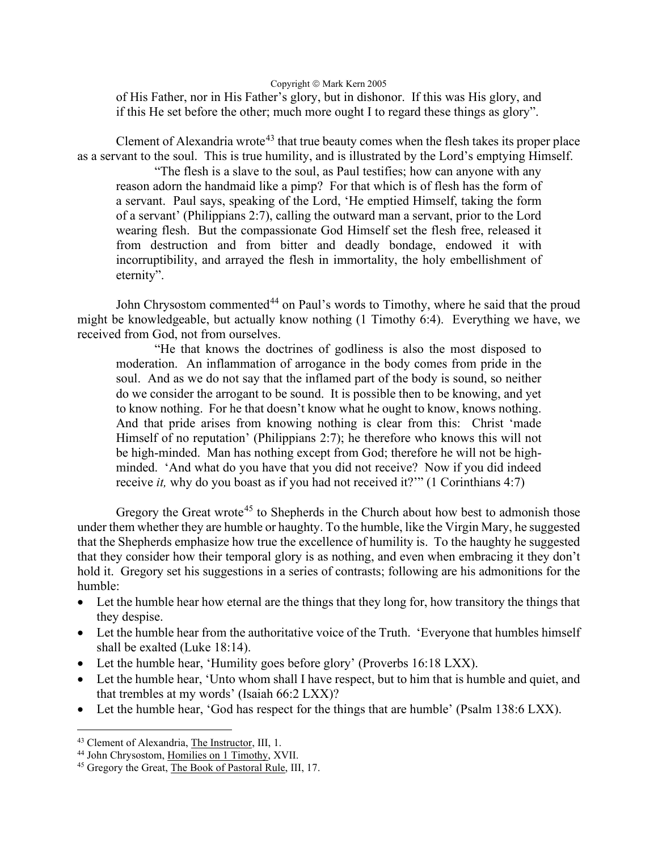Copyright  $\circ$  Mark Kern 2005

of His Father, nor in His Father's glory, but in dishonor. If this was His glory, and if this He set before the other; much more ought I to regard these things as glory".

Clement of Alexandria wrote<sup>[43](#page-13-0)</sup> that true beauty comes when the flesh takes its proper place as a servant to the soul. This is true humility, and is illustrated by the Lord's emptying Himself.

"The flesh is a slave to the soul, as Paul testifies; how can anyone with any reason adorn the handmaid like a pimp? For that which is of flesh has the form of a servant. Paul says, speaking of the Lord, 'He emptied Himself, taking the form of a servant' (Philippians 2:7), calling the outward man a servant, prior to the Lord wearing flesh. But the compassionate God Himself set the flesh free, released it from destruction and from bitter and deadly bondage, endowed it with incorruptibility, and arrayed the flesh in immortality, the holy embellishment of eternity".

John Chrysostom commented<sup>[44](#page-13-1)</sup> on Paul's words to Timothy, where he said that the proud might be knowledgeable, but actually know nothing (1 Timothy 6:4). Everything we have, we received from God, not from ourselves.

"He that knows the doctrines of godliness is also the most disposed to moderation. An inflammation of arrogance in the body comes from pride in the soul. And as we do not say that the inflamed part of the body is sound, so neither do we consider the arrogant to be sound. It is possible then to be knowing, and yet to know nothing. For he that doesn't know what he ought to know, knows nothing. And that pride arises from knowing nothing is clear from this: Christ 'made Himself of no reputation' (Philippians 2:7); he therefore who knows this will not be high-minded. Man has nothing except from God; therefore he will not be highminded. 'And what do you have that you did not receive? Now if you did indeed receive *it*, why do you boast as if you had not received it?"" (1 Corinthians 4:7)

Gregory the Great wrote<sup>[45](#page-13-2)</sup> to Shepherds in the Church about how best to admonish those under them whether they are humble or haughty. To the humble, like the Virgin Mary, he suggested that the Shepherds emphasize how true the excellence of humility is. To the haughty he suggested that they consider how their temporal glory is as nothing, and even when embracing it they don't hold it. Gregory set his suggestions in a series of contrasts; following are his admonitions for the humble:

- Let the humble hear how eternal are the things that they long for, how transitory the things that they despise.
- Let the humble hear from the authoritative voice of the Truth. 'Everyone that humbles himself shall be exalted (Luke 18:14).
- Let the humble hear, 'Humility goes before glory' (Proverbs 16:18 LXX).
- Let the humble hear, 'Unto whom shall I have respect, but to him that is humble and quiet, and that trembles at my words' (Isaiah 66:2 LXX)?
- Let the humble hear, 'God has respect for the things that are humble' (Psalm 138:6 LXX).

<span id="page-13-0"></span><sup>43</sup> Clement of Alexandria, The Instructor, III, 1.

<span id="page-13-1"></span><sup>&</sup>lt;sup>44</sup> John Chrysostom, Homilies on 1 Timothy, XVII.

<span id="page-13-2"></span><sup>45</sup> Gregory the Great, The Book of Pastoral Rule, III, 17.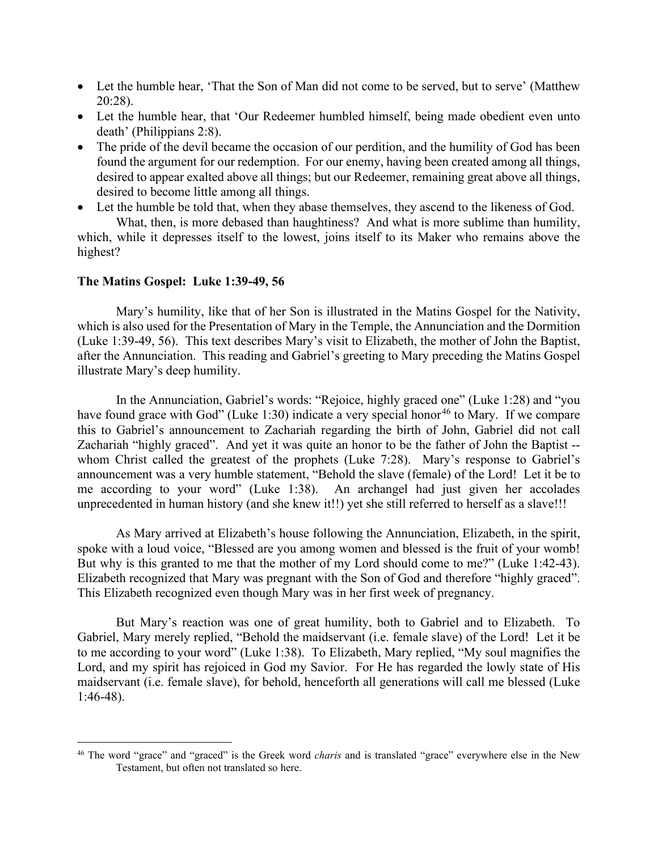- Let the humble hear, 'That the Son of Man did not come to be served, but to serve' (Matthew 20:28).
- Let the humble hear, that 'Our Redeemer humbled himself, being made obedient even unto death' (Philippians 2:8).
- The pride of the devil became the occasion of our perdition, and the humility of God has been found the argument for our redemption. For our enemy, having been created among all things, desired to appear exalted above all things; but our Redeemer, remaining great above all things, desired to become little among all things.
- Let the humble be told that, when they abase themselves, they ascend to the likeness of God.

What, then, is more debased than haughtiness? And what is more sublime than humility, which, while it depresses itself to the lowest, joins itself to its Maker who remains above the highest?

#### <span id="page-14-0"></span>**The Matins Gospel: Luke 1:39-49, 56**

Mary's humility, like that of her Son is illustrated in the Matins Gospel for the Nativity, which is also used for the Presentation of Mary in the Temple, the Annunciation and the Dormition (Luke 1:39-49, 56). This text describes Mary's visit to Elizabeth, the mother of John the Baptist, after the Annunciation. This reading and Gabriel's greeting to Mary preceding the Matins Gospel illustrate Mary's deep humility.

In the Annunciation, Gabriel's words: "Rejoice, highly graced one" (Luke 1:28) and "you have found grace with God" (Luke 1:30) indicate a very special honor<sup>[46](#page-14-1)</sup> to Mary. If we compare this to Gabriel's announcement to Zachariah regarding the birth of John, Gabriel did not call Zachariah "highly graced". And yet it was quite an honor to be the father of John the Baptist - whom Christ called the greatest of the prophets (Luke 7:28). Mary's response to Gabriel's announcement was a very humble statement, "Behold the slave (female) of the Lord! Let it be to me according to your word" (Luke 1:38). An archangel had just given her accolades unprecedented in human history (and she knew it!!) yet she still referred to herself as a slave!!!

As Mary arrived at Elizabeth's house following the Annunciation, Elizabeth, in the spirit, spoke with a loud voice, "Blessed are you among women and blessed is the fruit of your womb! But why is this granted to me that the mother of my Lord should come to me?" (Luke 1:42-43). Elizabeth recognized that Mary was pregnant with the Son of God and therefore "highly graced". This Elizabeth recognized even though Mary was in her first week of pregnancy.

But Mary's reaction was one of great humility, both to Gabriel and to Elizabeth. To Gabriel, Mary merely replied, "Behold the maidservant (i.e. female slave) of the Lord! Let it be to me according to your word" (Luke 1:38). To Elizabeth, Mary replied, "My soul magnifies the Lord, and my spirit has rejoiced in God my Savior. For He has regarded the lowly state of His maidservant (i.e. female slave), for behold, henceforth all generations will call me blessed (Luke 1:46-48).

<span id="page-14-1"></span><sup>46</sup> The word "grace" and "graced" is the Greek word *charis* and is translated "grace" everywhere else in the New Testament, but often not translated so here.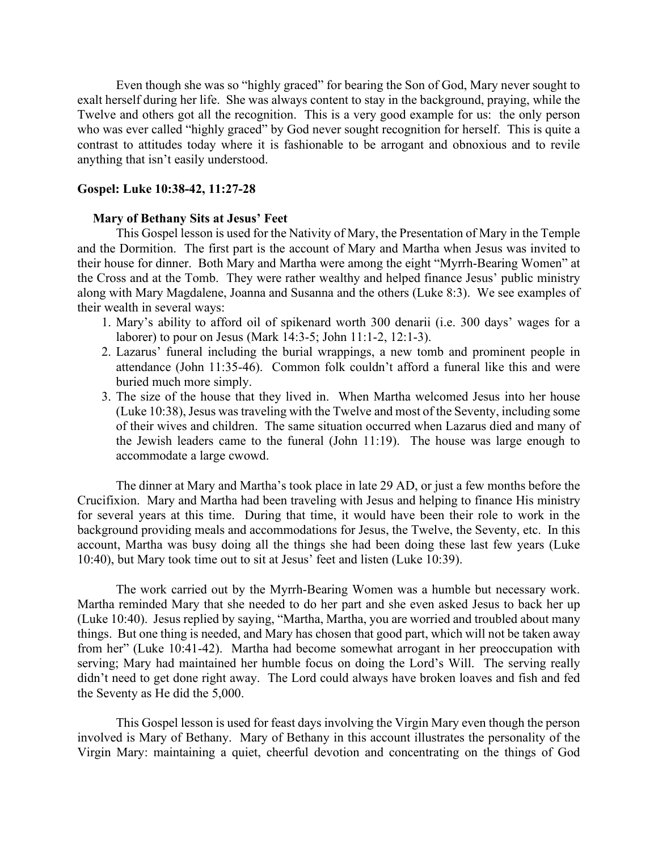Even though she was so "highly graced" for bearing the Son of God, Mary never sought to exalt herself during her life. She was always content to stay in the background, praying, while the Twelve and others got all the recognition. This is a very good example for us: the only person who was ever called "highly graced" by God never sought recognition for herself. This is quite a contrast to attitudes today where it is fashionable to be arrogant and obnoxious and to revile anything that isn't easily understood.

#### <span id="page-15-0"></span>**Gospel: Luke 10:38-42, 11:27-28**

#### **Mary of Bethany Sits at Jesus' Feet**

<span id="page-15-1"></span>This Gospel lesson is used for the Nativity of Mary, the Presentation of Mary in the Temple and the Dormition. The first part is the account of Mary and Martha when Jesus was invited to their house for dinner. Both Mary and Martha were among the eight "Myrrh-Bearing Women" at the Cross and at the Tomb. They were rather wealthy and helped finance Jesus' public ministry along with Mary Magdalene, Joanna and Susanna and the others (Luke 8:3). We see examples of their wealth in several ways:

- 1. Mary's ability to afford oil of spikenard worth 300 denarii (i.e. 300 days' wages for a laborer) to pour on Jesus (Mark 14:3-5; John 11:1-2, 12:1-3).
- 2. Lazarus' funeral including the burial wrappings, a new tomb and prominent people in attendance (John 11:35-46). Common folk couldn't afford a funeral like this and were buried much more simply.
- 3. The size of the house that they lived in. When Martha welcomed Jesus into her house (Luke 10:38), Jesus was traveling with the Twelve and most of the Seventy, including some of their wives and children. The same situation occurred when Lazarus died and many of the Jewish leaders came to the funeral (John 11:19). The house was large enough to accommodate a large cwowd.

The dinner at Mary and Martha's took place in late 29 AD, or just a few months before the Crucifixion. Mary and Martha had been traveling with Jesus and helping to finance His ministry for several years at this time. During that time, it would have been their role to work in the background providing meals and accommodations for Jesus, the Twelve, the Seventy, etc. In this account, Martha was busy doing all the things she had been doing these last few years (Luke 10:40), but Mary took time out to sit at Jesus' feet and listen (Luke 10:39).

The work carried out by the Myrrh-Bearing Women was a humble but necessary work. Martha reminded Mary that she needed to do her part and she even asked Jesus to back her up (Luke 10:40). Jesus replied by saying, "Martha, Martha, you are worried and troubled about many things. But one thing is needed, and Mary has chosen that good part, which will not be taken away from her" (Luke 10:41-42). Martha had become somewhat arrogant in her preoccupation with serving; Mary had maintained her humble focus on doing the Lord's Will. The serving really didn't need to get done right away. The Lord could always have broken loaves and fish and fed the Seventy as He did the 5,000.

This Gospel lesson is used for feast days involving the Virgin Mary even though the person involved is Mary of Bethany. Mary of Bethany in this account illustrates the personality of the Virgin Mary: maintaining a quiet, cheerful devotion and concentrating on the things of God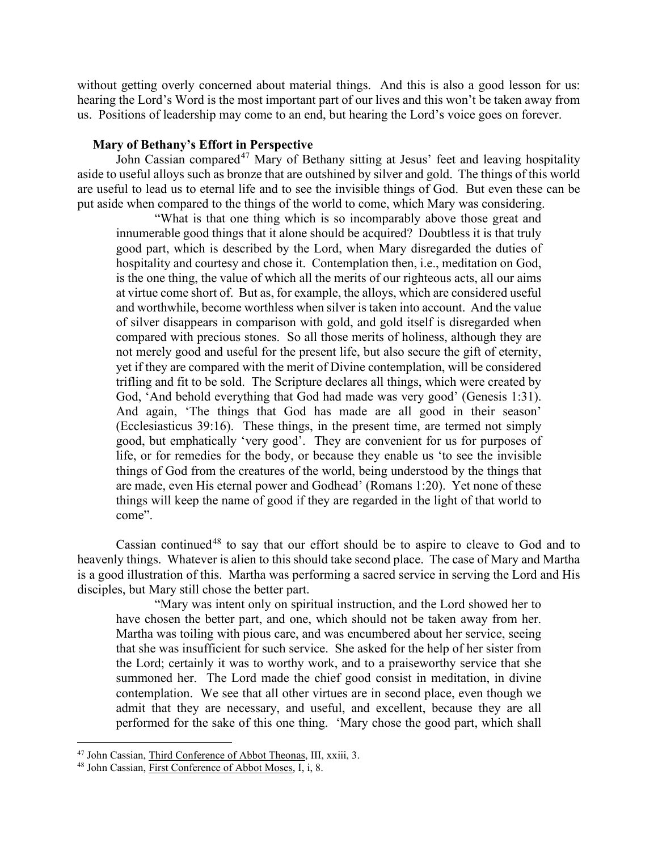without getting overly concerned about material things. And this is also a good lesson for us: hearing the Lord's Word is the most important part of our lives and this won't be taken away from us.Positions of leadership may come to an end, but hearing the Lord's voice goes on forever.

#### **Mary of Bethany's Effort in Perspective**

<span id="page-16-0"></span>John Cassian compared<sup>[47](#page-16-1)</sup> Mary of Bethany sitting at Jesus' feet and leaving hospitality aside to useful alloys such as bronze that are outshined by silver and gold. The things of this world are useful to lead us to eternal life and to see the invisible things of God. But even these can be put aside when compared to the things of the world to come, which Mary was considering.

"What is that one thing which is so incomparably above those great and innumerable good things that it alone should be acquired? Doubtless it is that truly good part, which is described by the Lord, when Mary disregarded the duties of hospitality and courtesy and chose it. Contemplation then, i.e., meditation on God, is the one thing, the value of which all the merits of our righteous acts, all our aims at virtue come short of. But as, for example, the alloys, which are considered useful and worthwhile, become worthless when silver is taken into account. And the value of silver disappears in comparison with gold, and gold itself is disregarded when compared with precious stones. So all those merits of holiness, although they are not merely good and useful for the present life, but also secure the gift of eternity, yet if they are compared with the merit of Divine contemplation, will be considered trifling and fit to be sold. The Scripture declares all things, which were created by God, 'And behold everything that God had made was very good' (Genesis 1:31). And again, 'The things that God has made are all good in their season' (Ecclesiasticus 39:16). These things, in the present time, are termed not simply good, but emphatically 'very good'. They are convenient for us for purposes of life, or for remedies for the body, or because they enable us 'to see the invisible things of God from the creatures of the world, being understood by the things that are made, even His eternal power and Godhead' (Romans 1:20). Yet none of these things will keep the name of good if they are regarded in the light of that world to come".

Cassian continued<sup>[48](#page-16-2)</sup> to say that our effort should be to aspire to cleave to God and to heavenly things. Whatever is alien to this should take second place. The case of Mary and Martha is a good illustration of this. Martha was performing a sacred service in serving the Lord and His disciples, but Mary still chose the better part.

"Mary was intent only on spiritual instruction, and the Lord showed her to have chosen the better part, and one, which should not be taken away from her. Martha was toiling with pious care, and was encumbered about her service, seeing that she was insufficient for such service. She asked for the help of her sister from the Lord; certainly it was to worthy work, and to a praiseworthy service that she summoned her. The Lord made the chief good consist in meditation, in divine contemplation. We see that all other virtues are in second place, even though we admit that they are necessary, and useful, and excellent, because they are all performed for the sake of this one thing. 'Mary chose the good part, which shall

<span id="page-16-1"></span><sup>47</sup> John Cassian, Third Conference of Abbot Theonas, III, xxiii, 3.

<span id="page-16-2"></span><sup>48</sup> John Cassian, First Conference of Abbot Moses, I, i, 8.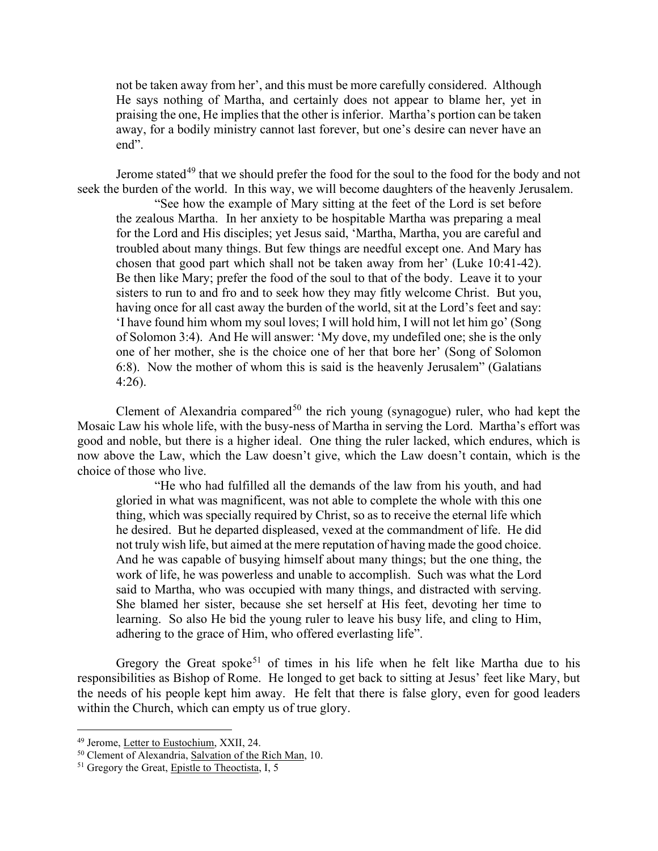not be taken away from her', and this must be more carefully considered. Although He says nothing of Martha, and certainly does not appear to blame her, yet in praising the one, He implies that the other is inferior. Martha's portion can be taken away, for a bodily ministry cannot last forever, but one's desire can never have an end".

Jerome stated<sup>[49](#page-17-0)</sup> that we should prefer the food for the soul to the food for the body and not seek the burden of the world. In this way, we will become daughters of the heavenly Jerusalem.

"See how the example of Mary sitting at the feet of the Lord is set before the zealous Martha. In her anxiety to be hospitable Martha was preparing a meal for the Lord and His disciples; yet Jesus said, 'Martha, Martha, you are careful and troubled about many things. But few things are needful except one. And Mary has chosen that good part which shall not be taken away from her' (Luke 10:41-42). Be then like Mary; prefer the food of the soul to that of the body. Leave it to your sisters to run to and fro and to seek how they may fitly welcome Christ. But you, having once for all cast away the burden of the world, sit at the Lord's feet and say: 'I have found him whom my soul loves; I will hold him, I will not let him go' (Song of Solomon 3:4). And He will answer: 'My dove, my undefiled one; she is the only one of her mother, she is the choice one of her that bore her' (Song of Solomon 6:8). Now the mother of whom this is said is the heavenly Jerusalem" (Galatians 4:26).

Clement of Alexandria compared<sup>[50](#page-17-1)</sup> the rich young (synagogue) ruler, who had kept the Mosaic Law his whole life, with the busy-ness of Martha in serving the Lord. Martha's effort was good and noble, but there is a higher ideal. One thing the ruler lacked, which endures, which is now above the Law, which the Law doesn't give, which the Law doesn't contain, which is the choice of those who live.

"He who had fulfilled all the demands of the law from his youth, and had gloried in what was magnificent, was not able to complete the whole with this one thing, which was specially required by Christ, so as to receive the eternal life which he desired. But he departed displeased, vexed at the commandment of life. He did not truly wish life, but aimed at the mere reputation of having made the good choice. And he was capable of busying himself about many things; but the one thing, the work of life, he was powerless and unable to accomplish. Such was what the Lord said to Martha, who was occupied with many things, and distracted with serving. She blamed her sister, because she set herself at His feet, devoting her time to learning. So also He bid the young ruler to leave his busy life, and cling to Him, adhering to the grace of Him, who offered everlasting life".

Gregory the Great spoke<sup>[51](#page-17-2)</sup> of times in his life when he felt like Martha due to his responsibilities as Bishop of Rome. He longed to get back to sitting at Jesus' feet like Mary, but the needs of his people kept him away. He felt that there is false glory, even for good leaders within the Church, which can empty us of true glory.

<span id="page-17-0"></span><sup>49</sup> Jerome, Letter to Eustochium, XXII, 24.

<span id="page-17-1"></span><sup>&</sup>lt;sup>50</sup> Clement of Alexandria, Salvation of the Rich Man, 10.

<span id="page-17-2"></span><sup>&</sup>lt;sup>51</sup> Gregory the Great, Epistle to Theoctista, I, 5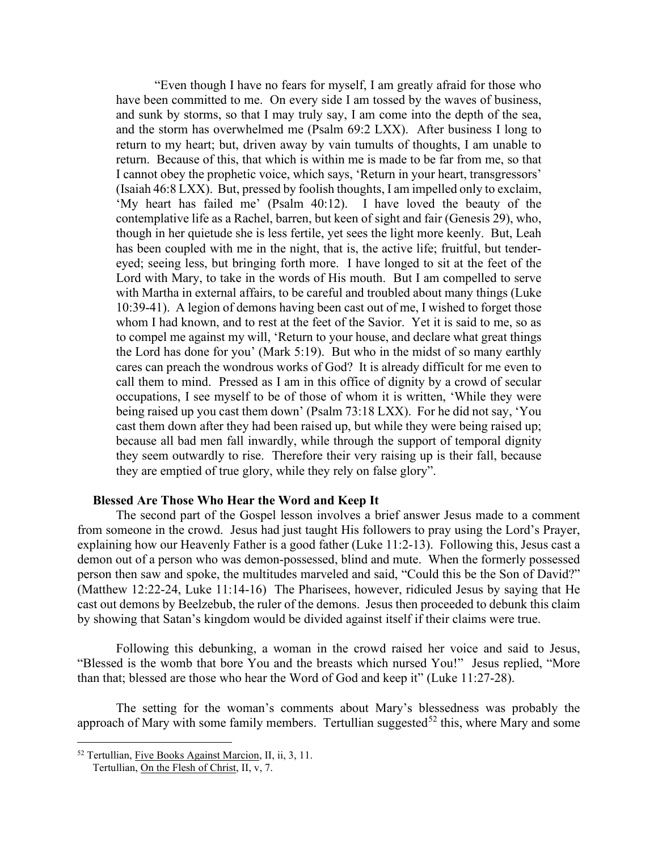"Even though I have no fears for myself, I am greatly afraid for those who have been committed to me. On every side I am tossed by the waves of business, and sunk by storms, so that I may truly say, I am come into the depth of the sea, and the storm has overwhelmed me (Psalm 69:2 LXX). After business I long to return to my heart; but, driven away by vain tumults of thoughts, I am unable to return. Because of this, that which is within me is made to be far from me, so that I cannot obey the prophetic voice, which says, 'Return in your heart, transgressors' (Isaiah 46:8 LXX). But, pressed by foolish thoughts, I am impelled only to exclaim, 'My heart has failed me' (Psalm 40:12). I have loved the beauty of the contemplative life as a Rachel, barren, but keen of sight and fair (Genesis 29), who, though in her quietude she is less fertile, yet sees the light more keenly. But, Leah has been coupled with me in the night, that is, the active life; fruitful, but tendereyed; seeing less, but bringing forth more. I have longed to sit at the feet of the Lord with Mary, to take in the words of His mouth. But I am compelled to serve with Martha in external affairs, to be careful and troubled about many things (Luke 10:39-41). A legion of demons having been cast out of me, I wished to forget those whom I had known, and to rest at the feet of the Savior. Yet it is said to me, so as to compel me against my will, 'Return to your house, and declare what great things the Lord has done for you' (Mark 5:19). But who in the midst of so many earthly cares can preach the wondrous works of God? It is already difficult for me even to call them to mind. Pressed as I am in this office of dignity by a crowd of secular occupations, I see myself to be of those of whom it is written, 'While they were being raised up you cast them down' (Psalm 73:18 LXX). For he did not say, 'You cast them down after they had been raised up, but while they were being raised up; because all bad men fall inwardly, while through the support of temporal dignity they seem outwardly to rise. Therefore their very raising up is their fall, because they are emptied of true glory, while they rely on false glory".

#### **Blessed Are Those Who Hear the Word and Keep It**

<span id="page-18-0"></span>The second part of the Gospel lesson involves a brief answer Jesus made to a comment from someone in the crowd. Jesus had just taught His followers to pray using the Lord's Prayer, explaining how our Heavenly Father is a good father (Luke 11:2-13). Following this, Jesus cast a demon out of a person who was demon-possessed, blind and mute. When the formerly possessed person then saw and spoke, the multitudes marveled and said, "Could this be the Son of David?" (Matthew 12:22-24, Luke 11:14-16) The Pharisees, however, ridiculed Jesus by saying that He cast out demons by Beelzebub, the ruler of the demons. Jesus then proceeded to debunk this claim by showing that Satan's kingdom would be divided against itself if their claims were true.

Following this debunking, a woman in the crowd raised her voice and said to Jesus, "Blessed is the womb that bore You and the breasts which nursed You!" Jesus replied, "More than that; blessed are those who hear the Word of God and keep it" (Luke 11:27-28).

The setting for the woman's comments about Mary's blessedness was probably the approach of Mary with some family members. Tertullian suggested<sup>[52](#page-18-1)</sup> this, where Mary and some

<span id="page-18-1"></span><sup>&</sup>lt;sup>52</sup> Tertullian, Five Books Against Marcion, II, ii, 3, 11.

Tertullian, On the Flesh of Christ, II, v, 7.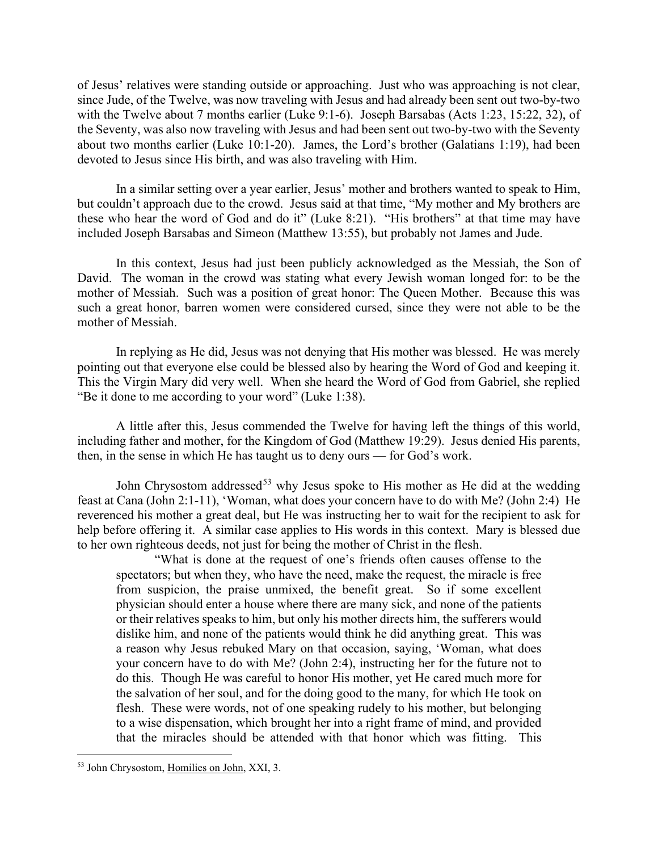of Jesus' relatives were standing outside or approaching. Just who was approaching is not clear, since Jude, of the Twelve, was now traveling with Jesus and had already been sent out two-by-two with the Twelve about 7 months earlier (Luke 9:1-6). Joseph Barsabas (Acts 1:23, 15:22, 32), of the Seventy, was also now traveling with Jesus and had been sent out two-by-two with the Seventy about two months earlier (Luke 10:1-20). James, the Lord's brother (Galatians 1:19), had been devoted to Jesus since His birth, and was also traveling with Him.

In a similar setting over a year earlier, Jesus' mother and brothers wanted to speak to Him, but couldn't approach due to the crowd. Jesus said at that time, "My mother and My brothers are these who hear the word of God and do it" (Luke 8:21). "His brothers" at that time may have included Joseph Barsabas and Simeon (Matthew 13:55), but probably not James and Jude.

In this context, Jesus had just been publicly acknowledged as the Messiah, the Son of David. The woman in the crowd was stating what every Jewish woman longed for: to be the mother of Messiah. Such was a position of great honor: The Queen Mother. Because this was such a great honor, barren women were considered cursed, since they were not able to be the mother of Messiah.

In replying as He did, Jesus was not denying that His mother was blessed. He was merely pointing out that everyone else could be blessed also by hearing the Word of God and keeping it. This the Virgin Mary did very well. When she heard the Word of God from Gabriel, she replied "Be it done to me according to your word" (Luke 1:38).

A little after this, Jesus commended the Twelve for having left the things of this world, including father and mother, for the Kingdom of God (Matthew 19:29). Jesus denied His parents, then, in the sense in which He has taught us to deny ours — for God's work.

John Chrysostom addressed<sup>[53](#page-19-0)</sup> why Jesus spoke to His mother as He did at the wedding feast at Cana (John 2:1-11), 'Woman, what does your concern have to do with Me? (John 2:4) He reverenced his mother a great deal, but He was instructing her to wait for the recipient to ask for help before offering it. A similar case applies to His words in this context. Mary is blessed due to her own righteous deeds, not just for being the mother of Christ in the flesh.

"What is done at the request of one's friends often causes offense to the spectators; but when they, who have the need, make the request, the miracle is free from suspicion, the praise unmixed, the benefit great. So if some excellent physician should enter a house where there are many sick, and none of the patients or their relatives speaks to him, but only his mother directs him, the sufferers would dislike him, and none of the patients would think he did anything great. This was a reason why Jesus rebuked Mary on that occasion, saying, 'Woman, what does your concern have to do with Me? (John 2:4), instructing her for the future not to do this. Though He was careful to honor His mother, yet He cared much more for the salvation of her soul, and for the doing good to the many, for which He took on flesh. These were words, not of one speaking rudely to his mother, but belonging to a wise dispensation, which brought her into a right frame of mind, and provided that the miracles should be attended with that honor which was fitting. This

<span id="page-19-0"></span><sup>53</sup> John Chrysostom, Homilies on John, XXI, 3.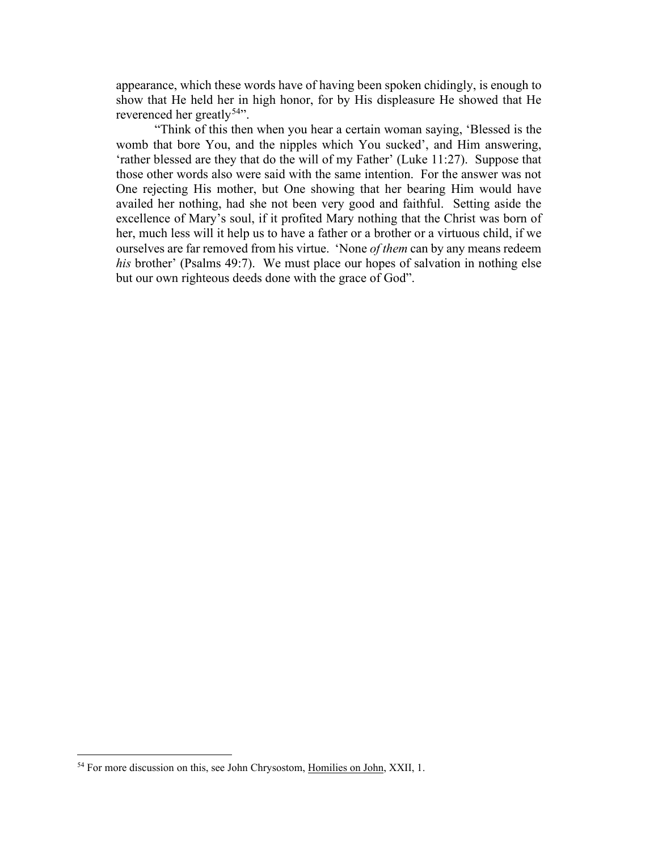appearance, which these words have of having been spoken chidingly, is enough to show that He held her in high honor, for by His displeasure He showed that He reverenced her greatly<sup>54</sup>".

"Think of this then when you hear a certain woman saying, 'Blessed is the womb that bore You, and the nipples which You sucked', and Him answering, 'rather blessed are they that do the will of my Father' (Luke 11:27). Suppose that those other words also were said with the same intention. For the answer was not One rejecting His mother, but One showing that her bearing Him would have availed her nothing, had she not been very good and faithful. Setting aside the excellence of Mary's soul, if it profited Mary nothing that the Christ was born of her, much less will it help us to have a father or a brother or a virtuous child, if we ourselves are far removed from his virtue. 'None *of them* can by any means redeem *his* brother' (Psalms 49:7). We must place our hopes of salvation in nothing else but our own righteous deeds done with the grace of God".

<span id="page-20-0"></span><sup>&</sup>lt;sup>54</sup> For more discussion on this, see John Chrysostom, Homilies on John, XXII, 1.